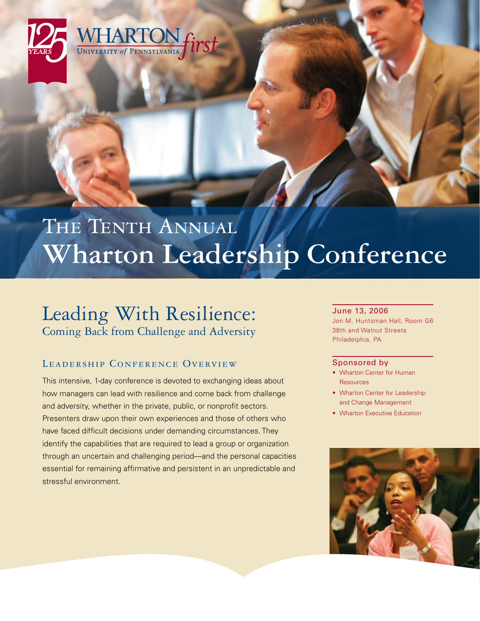

# THE TENTH ANNUAL **Wharton Leadership Conference**

# Leading With Resilience: Coming Back from Challenge and Adversity

## LEADERSHIP CONFERENCE OVERVIEW

This intensive, 1-day conference is devoted to exchanging ideas about how managers can lead with resilience and come back from challenge and adversity, whether in the private, public, or nonprofit sectors. Presenters draw upon their own experiences and those of others who have faced difficult decisions under demanding circumstances. They identify the capabilities that are required to lead a group or organization through an uncertain and challenging period—and the personal capacities essential for remaining affirmative and persistent in an unpredictable and stressful environment.

#### June 13, 2006

Jon M. Huntsman Hall, Room G6 38th and Walnut Streets Philadelphia, PA

#### Sponsored by

- Wharton Center for Human Resources
- Wharton Center for Leadership and Change Management
- Wharton Executive Education